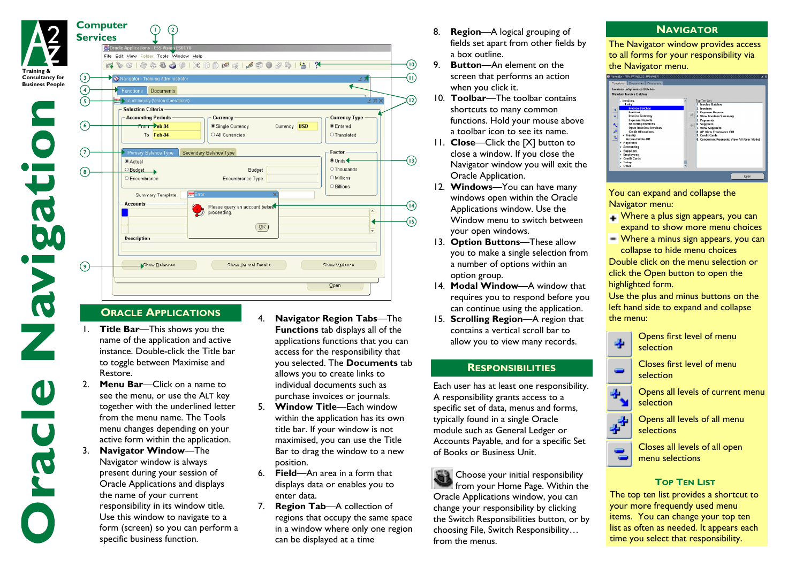|                                 | 400105880120021600051412                                                                                                       |                          |
|---------------------------------|--------------------------------------------------------------------------------------------------------------------------------|--------------------------|
| $\left(3\right)$<br>ness People | <b>X</b> Navigator - Training Administrator<br>ぎう                                                                              |                          |
| $\left( 4\right)$               | Functions<br>Documents                                                                                                         |                          |
| $\mathsf{S}$                    | count Inquiry (Vision Operations)                                                                                              | <b>KRY</b>               |
|                                 | Selection Criteria -                                                                                                           |                          |
|                                 | <b>Currency Type</b><br><b>Accounting Periods</b><br>Currency -<br>From Peb-04<br>Single Currency<br>Currency USD<br>● Entered |                          |
| (6)                             | To Feb-04<br>O All Currencies<br><b>O</b> Translated                                                                           |                          |
|                                 |                                                                                                                                |                          |
| (7)                             | Factor<br>Primary Balance Type<br>Secondary Balance Type                                                                       |                          |
|                                 | <sup>●</sup> Units<br><b>Actual</b>                                                                                            |                          |
| $\left( \mathbf{s}\right)$      | O Thousands<br>O Budget<br><b>Budget</b>                                                                                       |                          |
|                                 | O Millions<br>O Encumbrance<br>Encumbrance Type                                                                                |                          |
|                                 | O Billions<br><b>SAKU</b> Error<br>×<br>Summary Template                                                                       |                          |
|                                 | - Accounts -                                                                                                                   |                          |
|                                 | Please query an account before<br>proceeding.                                                                                  | $\overline{a}$           |
|                                 |                                                                                                                                |                          |
|                                 | QK                                                                                                                             | $\overline{\phantom{0}}$ |
|                                 | <b>Description</b>                                                                                                             |                          |
|                                 |                                                                                                                                |                          |
|                                 | Show Balances<br>Show Variance<br>Show Journal Details                                                                         |                          |

## **ORACLE APPLICATIONS**

**Training & Consultancy for Bus** 

 $\overline{c}$ 

- 1. **Title Bar**—This shows you the name of the application and active instance. Double-click the Title bar to toggle between Maximise and Restore.
- 2. **Menu Bar**—Click on a name to see the menu, or use the ALT key together with the underlined letter from the menu name. The Tools menu changes depending on your active form within the application.
- 3. **Navigator Window**—The Navigator window is always present during your session of Oracle Applications and displays the name of your current responsibility in its window title. Use this window to navigate to a form (screen) so you can perform a specific business function.
- 4. **Navigator Region Tabs**—The **Functions** tab displays all of the applications functions that you can access for the responsibility that you selected. The **Documents** tab allows you to create links to individual documents such as purchase invoices or journals.
- 5. **Window Title**—Each window within the application has its own title bar. If your window is not maximised, you can use the Title Bar to drag the window to a new position.
- 6. **Field**—An area in a form that displays data or enables you to enter data.
- 7. **Region Tab**—A collection of regions that occupy the same space in a window where only one region can be displayed at a time
- 8. **Region**—A logical grouping of fields set apart from other fields by a box outline.
- 9. **Button**—An element on the screen that performs an action when you click it.
- 10. **Toolbar**—The toolbar contains shortcuts to many common functions. Hold your mouse above a toolbar icon to see its name.
- 11. **Close**—Click the [X] button to close a window. If you close the Navigator window you will exit the Oracle Application.
- 12. **Windows**—You can have many windows open within the Oracle Applications window. Use the Window menu to switch between your open windows.
- 13. **Option Buttons**—These allow you to make a single selection from a number of options within an option group.
- 14. **Modal Window**—A window that requires you to respond before you can continue using the application.
- 15. **Scrolling Region**—A region that contains a vertical scroll bar to allow you to view many records.

# **RESPONSIBILITIES**

Each user has at least one responsibility. A responsibility grants access to a specific set of data, menus and forms, typically found in a single Oracle module such as General Ledger or Accounts Payable, and for a specific Set of Books or Business Unit.

**EX** Choose your initial responsibility **from your Home Page. Within the** Oracle Applications window, you can change your responsibility by clicking the Switch Responsibilities button, or by choosing File, Switch Responsibility… from the menus.

#### **NAVIGATOR**

The Navigator window provides access to all forms for your responsibility via the Navigator menu.



You can expand and collapse the Navigator menu:

- Where a plus sign appears, you can expand to show more menu choices
- $\blacksquare$  Where a minus sign appears, you can collapse to hide menu choices

Double click on the menu selection or click the Open button to open the highlighted form.

Use the plus and minus buttons on the left hand side to expand and collapse the menu:



- $\mathbf{F}_{\mathbf{F}}$  Opens first level of menu selection
- $\Box$  Closes first level of menu selection
	- Opens all levels of current menu selection
	- Opens all levels of all menu selections
	- Closes all levels of all open menu selections

### **TOP TEN LIST**

The top ten list provides a shortcut to your more frequently used menu items. You can change your top ten list as often as needed. It appears each time you select that responsibility.